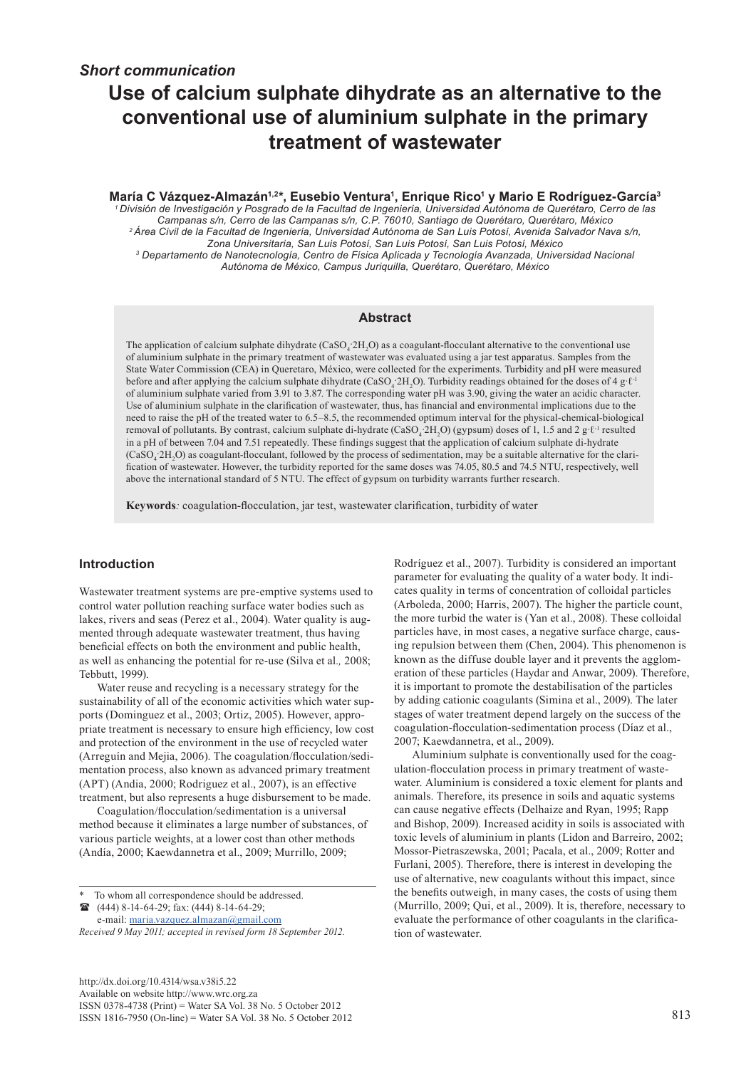# **Use of calcium sulphate dihydrate as an alternative to the conventional use of aluminium sulphate in the primary treatment of wastewater**

**María C Vázquez-Almazán1,2\*, Eusebio Ventura1 , Enrique Rico1 y Mario E Rodríguez-García3**  *1 División de Investigación y Posgrado de la Facultad de Ingeniería, Universidad Autónoma de Querétaro, Cerro de las Campanas s/n, Cerro de las Campanas s/n, C.P. 76010, Santiago de Querétaro, Querétaro, México 2 Área Civil de la Facultad de Ingeniería, Universidad Autónoma de San Luis Potosí, Avenida Salvador Nava s/n, Zona Universitaria, San Luis Potosí, San Luis Potosí, San Luis Potosí, México 3 Departamento de Nanotecnología, Centro de Física Aplicada y Tecnología Avanzada, Universidad Nacional Autónoma de México, Campus Juriquilla, Querétaro, Querétaro, México* 

#### **Abstract**

The application of calcium sulphate dihydrate (CaSO<sub>4</sub><sup>2</sup>H<sub>2</sub>O) as a coagulant-flocculant alternative to the conventional use of aluminium sulphate in the primary treatment of wastewater was evaluated using a jar test apparatus. Samples from the State Water Commission (CEA) in Queretaro, México, were collected for the experiments. Turbidity and pH were measured before and after applying the calcium sulphate dihydrate (CaSO<sub>4</sub><sup>2</sup>H<sub>2</sub>O). Turbidity readings obtained for the doses of 4 g·ℓ<sup>-1</sup> of aluminium sulphate varied from 3.91 to 3.87. The corresponding water pH was 3.90, giving the water an acidic character. Use of aluminium sulphate in the clarification of wastewater, thus, has financial and environmental implications due to the need to raise the pH of the treated water to 6.5–8.5, the recommended optimum interval for the physical-chemical-biological removal of pollutants. By contrast, calcium sulphate di-hydrate  $(CaSO_4:2H_2O)$  (gypsum) doses of 1, 1.5 and 2 g· $\ell$ <sup>-1</sup> resulted in a pH of between 7.04 and 7.51 repeatedly. These findings suggest that the application of calcium sulphate di-hydrate  $(CaSO<sub>4</sub>2H<sub>2</sub>O)$  as coagulant-flocculant, followed by the process of sedimentation, may be a suitable alternative for the clarification of wastewater. However, the turbidity reported for the same doses was 74.05, 80.5 and 74.5 NTU, respectively, well above the international standard of 5 NTU. The effect of gypsum on turbidity warrants further research.

**Keywords***:* coagulation-flocculation, jar test, wastewater clarification, turbidity of water

# **Introduction**

Wastewater treatment systems are pre-emptive systems used to control water pollution reaching surface water bodies such as lakes, rivers and seas (Perez et al., 2004). Water quality is augmented through adequate wastewater treatment, thus having beneficial effects on both the environment and public health, as well as enhancing the potential for re-use (Silva et al*.,* 2008; Tebbutt, 1999).

Water reuse and recycling is a necessary strategy for the sustainability of all of the economic activities which water supports (Dominguez et al., 2003; Ortiz, 2005). However, appropriate treatment is necessary to ensure high efficiency, low cost and protection of the environment in the use of recycled water (Arreguín and Mejia, 2006). The coagulation/flocculation/sedimentation process, also known as advanced primary treatment (APT) (Andia, 2000; Rodriguez et al., 2007), is an effective treatment, but also represents a huge disbursement to be made.

Coagulation/flocculation/sedimentation is a universal method because it eliminates a large number of substances, of various particle weights, at a lower cost than other methods (Andía, 2000; Kaewdannetra et al., 2009; Murrillo, 2009;

To whom all correspondence should be addressed. (444) 8-14-64-29; fax: (444) 8-14-64-29;

e-mail: [maria.vazquez.almazan@gmail.com](mailto:maria.vazquez.almazan@gmail.com)  *Received 9 May 2011; accepted in revised form 18 September 2012.*

[http://dx.doi.org/10.4314/wsa.v38i5.](http://dx.doi.org/10.4314/wsa.v37i4.18)22 Available on website http://www.wrc.org.za ISSN 0378-4738 (Print) = Water SA Vol. 38 No. 5 October 2012 ISSN 1816-7950 (On-line) = Water SA Vol. 38 No. 5 October 2012 813

Rodríguez et al., 2007). Turbidity is considered an important parameter for evaluating the quality of a water body. It indicates quality in terms of concentration of colloidal particles (Arboleda, 2000; Harris, 2007). The higher the particle count, the more turbid the water is (Yan et al., 2008). These colloidal particles have, in most cases, a negative surface charge, causing repulsion between them (Chen, 2004). This phenomenon is known as the diffuse double layer and it prevents the agglomeration of these particles (Haydar and Anwar, 2009). Therefore, it is important to promote the destabilisation of the particles by adding cationic coagulants (Simina et al., 2009). The later stages of water treatment depend largely on the success of the coagulation-flocculation-sedimentation process (Díaz et al., 2007; Kaewdannetra, et al., 2009).

Aluminium sulphate is conventionally used for the coagulation-flocculation process in primary treatment of wastewater. Aluminium is considered a toxic element for plants and animals. Therefore, its presence in soils and aquatic systems can cause negative effects (Delhaize and Ryan, 1995; Rapp and Bishop, 2009). Increased acidity in soils is associated with toxic levels of aluminium in plants (Lidon and Barreiro, 2002; Mossor-Pietraszewska, 2001; Pacala, et al., 2009; Rotter and Furlani, 2005). Therefore, there is interest in developing the use of alternative, new coagulants without this impact, since the benefits outweigh, in many cases, the costs of using them (Murrillo, 2009; Qui, et al., 2009). It is, therefore, necessary to evaluate the performance of other coagulants in the clarification of wastewater.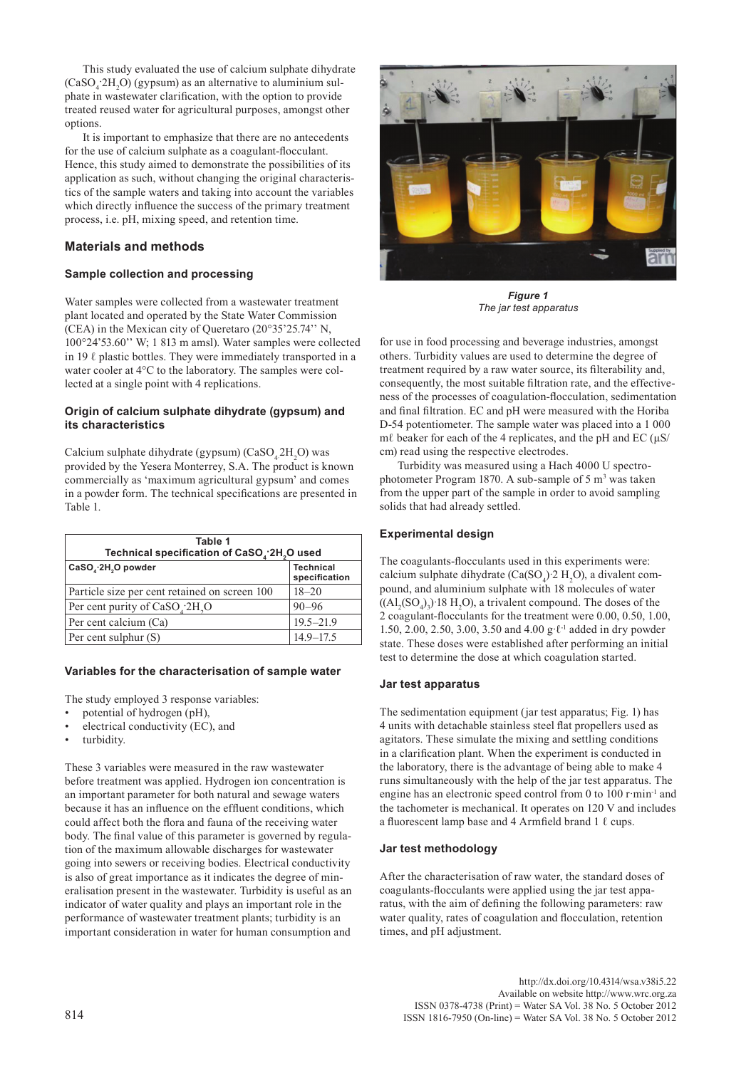This study evaluated the use of calcium sulphate dihydrate  $(CaSO<sub>4</sub>$ :2H<sub>2</sub>O) (gypsum) as an alternative to aluminium sulphate in wastewater clarification, with the option to provide treated reused water for agricultural purposes, amongst other options.

It is important to emphasize that there are no antecedents for the use of calcium sulphate as a coagulant-flocculant. Hence, this study aimed to demonstrate the possibilities of its application as such, without changing the original characteristics of the sample waters and taking into account the variables which directly influence the success of the primary treatment process, i.e. pH, mixing speed, and retention time.

# **Materials and methods**

# **Sample collection and processing**

Water samples were collected from a wastewater treatment plant located and operated by the State Water Commission (CEA) in the Mexican city of Queretaro (20°35'25.74'' N, 100°24'53.60'' W; 1 813 m amsl). Water samples were collected in 19  $\ell$  plastic bottles. They were immediately transported in a water cooler at 4°C to the laboratory. The samples were collected at a single point with 4 replications.

#### **Origin of calcium sulphate dihydrate (gypsum) and its characteristics**

Calcium sulphate dihydrate (gypsum)  $(CaSO<sub>4</sub>2H<sub>2</sub>O)$  was provided by the Yesera Monterrey, S.A. The product is known commercially as 'maximum agricultural gypsum' and comes in a powder form. The technical specifications are presented in Table 1.

| Table 1<br>Technical specification of CaSO <sub>4</sub> .2H <sub>2</sub> O used |                                   |  |  |  |  |
|---------------------------------------------------------------------------------|-----------------------------------|--|--|--|--|
| CaSO, 2H,O powder                                                               | <b>Technical</b><br>specification |  |  |  |  |
| Particle size per cent retained on screen 100                                   | $18 - 20$                         |  |  |  |  |
| Per cent purity of $CaSO$ <sub>1</sub> $2H$ <sub>2</sub> O                      | $90 - 96$                         |  |  |  |  |
| Per cent calcium (Ca)                                                           | $19.5 - 21.9$                     |  |  |  |  |
| Per cent sulphur (S)                                                            | $14.9 - 17.5$                     |  |  |  |  |

# **Variables for the characterisation of sample water**

The study employed 3 response variables:

- potential of hydrogen (pH),
- electrical conductivity (EC), and
- turbidity.

These 3 variables were measured in the raw wastewater before treatment was applied. Hydrogen ion concentration is an important parameter for both natural and sewage waters because it has an influence on the effluent conditions, which could affect both the flora and fauna of the receiving water body. The final value of this parameter is governed by regulation of the maximum allowable discharges for wastewater going into sewers or receiving bodies. Electrical conductivity is also of great importance as it indicates the degree of mineralisation present in the wastewater. Turbidity is useful as an indicator of water quality and plays an important role in the performance of wastewater treatment plants; turbidity is an important consideration in water for human consumption and



*Figure 1 The jar test apparatus*

for use in food processing and beverage industries, amongst others. Turbidity values are used to determine the degree of treatment required by a raw water source, its filterability and, consequently, the most suitable filtration rate, and the effectiveness of the processes of coagulation-flocculation, sedimentation and final filtration. EC and pH were measured with the Horiba D-54 potentiometer. The sample water was placed into a 1 000 mℓ beaker for each of the 4 replicates, and the pH and EC  $(\mu S$ / cm) read using the respective electrodes.

Turbidity was measured using a Hach 4000 U spectrophotometer Program 1870. A sub-sample of  $5 \text{ m}^3$  was taken from the upper part of the sample in order to avoid sampling solids that had already settled.

#### **Experimental design**

The coagulants-flocculants used in this experiments were: calcium sulphate dihydrate  $(Ca(SO<sub>4</sub>) \cdot 2 \text{ H}<sub>2</sub>O)$ , a divalent compound, and aluminium sulphate with 18 molecules of water  $((Al_2(SO_4)_3)$  18 H<sub>2</sub>O), a trivalent compound. The doses of the  $(2 \text{ coagulant-flocculants}$  for the treatment were 0.00, 0.50, 1.00, 1.50, 2.00, 2.50, 3.00, 3.50 and 4.00 g·ℓ-1 added in dry powder state. These doses were established after performing an initial test to determine the dose at which coagulation started.

#### **Jar test apparatus**

The sedimentation equipment (jar test apparatus; Fig. 1) has 4 units with detachable stainless steel flat propellers used as agitators. These simulate the mixing and settling conditions in a clarification plant. When the experiment is conducted in the laboratory, there is the advantage of being able to make 4 runs simultaneously with the help of the jar test apparatus. The engine has an electronic speed control from 0 to 100 r·min<sup>-1</sup> and the tachometer is mechanical. It operates on 120 V and includes a fluorescent lamp base and 4 Armfield brand 1  $\ell$  cups.

#### **Jar test methodology**

After the characterisation of raw water, the standard doses of coagulants-flocculants were applied using the jar test apparatus, with the aim of defining the following parameters: raw water quality, rates of coagulation and flocculation, retention times, and pH adjustment.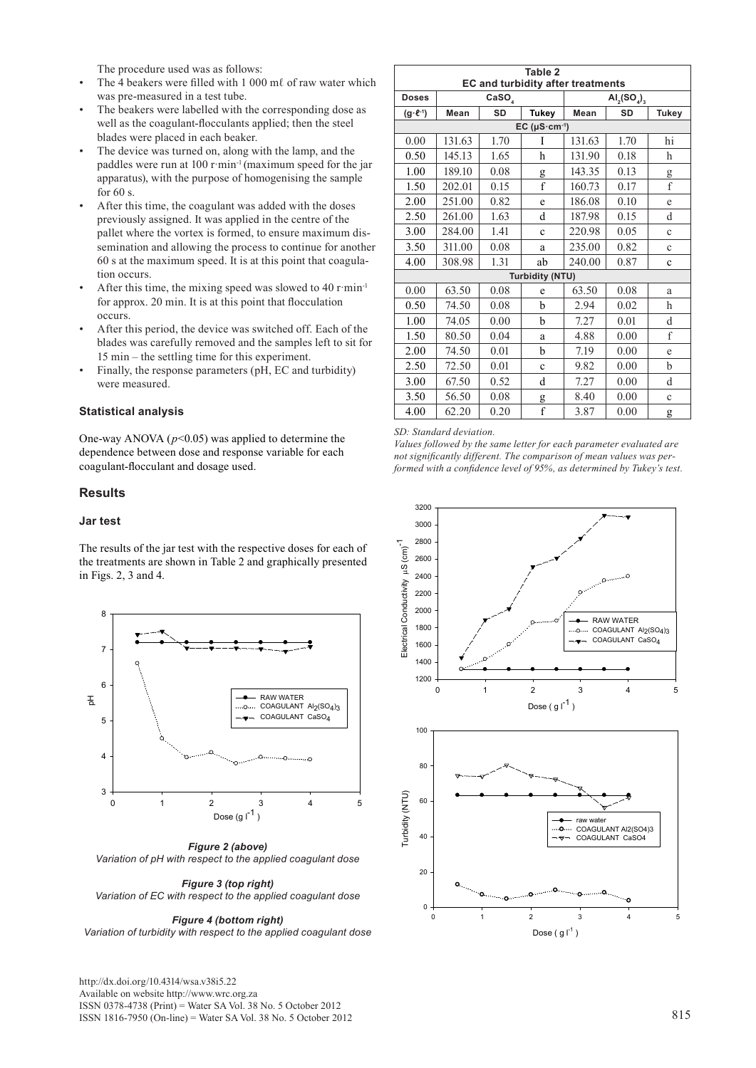The procedure used was as follows:

- The 4 beakers were filled with 1 000 mℓ of raw water which was pre-measured in a test tube.
- The beakers were labelled with the corresponding dose as well as the coagulant-flocculants applied; then the steel blades were placed in each beaker.
- The device was turned on, along with the lamp, and the paddles were run at 100 r·min<sup>-1</sup> (maximum speed for the jar apparatus), with the purpose of homogenising the sample for 60 s.
- After this time, the coagulant was added with the doses previously assigned. It was applied in the centre of the pallet where the vortex is formed, to ensure maximum dissemination and allowing the process to continue for another 60 s at the maximum speed. It is at this point that coagulation occurs.
- After this time, the mixing speed was slowed to  $40$  r $\cdot$ min<sup>-1</sup> for approx. 20 min. It is at this point that flocculation occurs.
- After this period, the device was switched off. Each of the blades was carefully removed and the samples left to sit for 15 min – the settling time for this experiment.
- Finally, the response parameters (pH, EC and turbidity) were measured.

#### **Statistical analysis**

One-way ANOVA (*p*<0.05) was applied to determine the dependence between dose and response variable for each coagulant-flocculant and dosage used.

# **Results**

#### **Jar test**

The results of the jar test with the respective doses for each of the treatments are shown in Table 2 and graphically presented in Figs. 2, 3 and 4.



*Figure 2 (above) Variation of pH with respect to the applied coagulant dose*

#### *Figure 3 (top right) Variation of EC with respect to the applied coagulant dose*

*Figure 4 (bottom right) Variation of turbidity with respect to the applied coagulant dose*  $\log |g|^{1}$  )

[http://dx.doi.org/10.4314/wsa.v38i5.](http://dx.doi.org/10.4314/wsa.v37i4.18)22 Available on website http://www.wrc.org.za ISSN 0378-4738 (Print) = Water SA Vol. 38 No. 5 October 2012 ISSN 1816-7950 (On-line) = Water SA Vol. 38 No. 5 October 2012 815

| Table 2<br>EC and turbidity after treatments |                   |      |                         |                      |           |              |  |  |
|----------------------------------------------|-------------------|------|-------------------------|----------------------|-----------|--------------|--|--|
| <b>Doses</b>                                 | CaSO <sub>4</sub> |      |                         | $AI_{2}(SO_{4})_{3}$ |           |              |  |  |
| $(g \cdot \ell^{-1})$                        | <b>SD</b><br>Mean |      | Tukey                   | Mean                 | <b>SD</b> | <b>Tukey</b> |  |  |
| $EC (µS·cm-1)$                               |                   |      |                         |                      |           |              |  |  |
| 0.00                                         | 131.63            | 1.70 | I                       | 131.63               | 1.70      | hi           |  |  |
| 0.50                                         | 145.13            | 1.65 | h                       | 131.90               | 0.18      | h            |  |  |
| 1.00                                         | 189.10            | 0.08 | g                       | 143.35               | 0.13      | g            |  |  |
| 1.50                                         | 202.01            | 0.15 | $\mathbf{f}$            | 160.73               | 0.17      | f            |  |  |
| 2.00                                         | 251.00            | 0.82 | e                       | 186.08               | 0.10      | e            |  |  |
| 2.50                                         | 261.00            | 1.63 | d                       | 187.98               | 0.15      | d            |  |  |
| 3.00                                         | 284.00            | 1.41 | $\ddot{c}$              | 220.98               | 0.05      | $\mathbf c$  |  |  |
| 3.50                                         | 311.00            | 0.08 | a                       | 235.00               | 0.82      | $\mathbf c$  |  |  |
| 4.00                                         | 308.98            | 1.31 | ab                      | 240.00               | 0.87      | $\mathbf c$  |  |  |
| <b>Turbidity (NTU)</b>                       |                   |      |                         |                      |           |              |  |  |
| 0.00                                         | 63.50             | 0.08 | e                       | 63.50                | 0.08      | a            |  |  |
| 0.50                                         | 74.50             | 0.08 | b                       | 2.94                 | 0.02      | h            |  |  |
| 1.00                                         | 74.05             | 0.00 | b                       | 7.27                 | 0.01      | d            |  |  |
| 1.50                                         | 80.50             | 0.04 | a                       | 4.88                 | 0.00      | f            |  |  |
| 2.00                                         | 74.50             | 0.01 | b                       | 7.19                 | 0.00      | e            |  |  |
| 2.50                                         | 72.50             | 0.01 | $\mathbf c$             | 9.82                 | 0.00      | b            |  |  |
| 3.00                                         | 67.50             | 0.52 | d                       | 7.27                 | 0.00      | d            |  |  |
| 3.50                                         | 56.50             | 0.08 | g                       | 8.40                 | 0.00      | $\mathbf c$  |  |  |
| 4.00                                         | 62.20             | 0.20 | $\overline{\mathbf{f}}$ | 3.87                 | 0.00      | g            |  |  |

#### *SD: Standard deviation.*

*Values followed by the same letter for each parameter evaluated are not significantly different. The comparison of mean values was performed with a confidence level of 95%, as determined by Tukey's test.* 



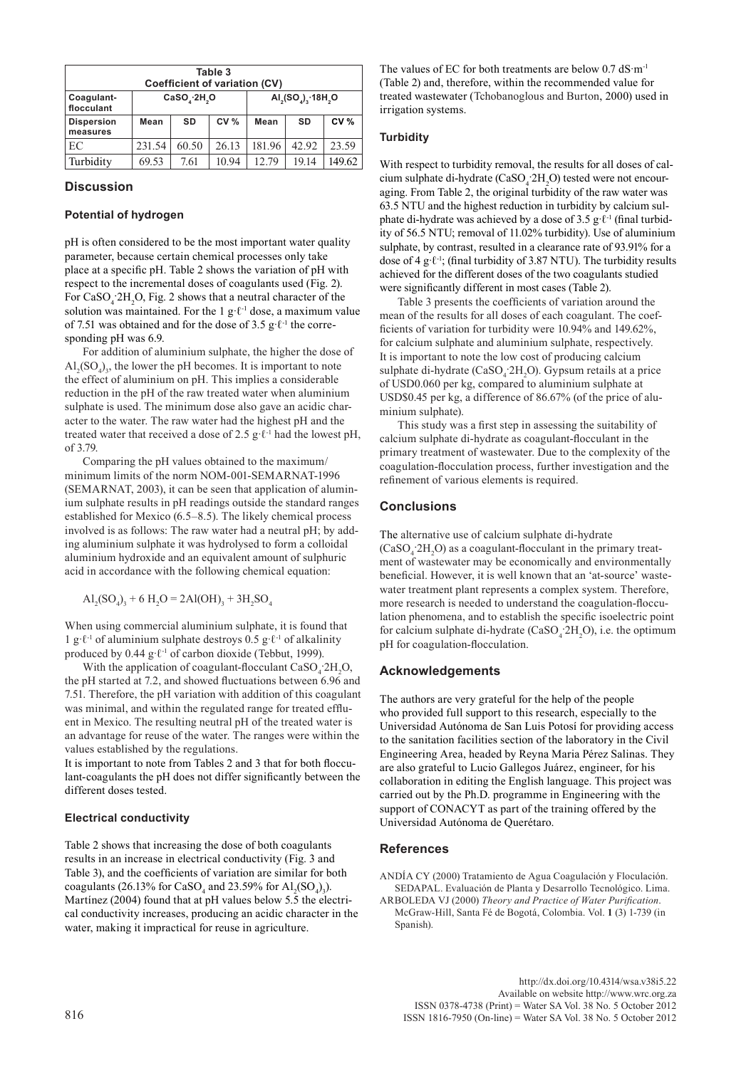| Table 3<br>Coefficient of variation (CV) |             |       |                 |                   |           |             |  |  |  |
|------------------------------------------|-------------|-------|-----------------|-------------------|-----------|-------------|--|--|--|
| Coagulant-<br>flocculant                 | CaSO, 2H, O |       |                 | $AI2(SO4)3·18H2O$ |           |             |  |  |  |
| <b>Dispersion</b><br>measures            | Mean        | SD    | CV <sub>0</sub> | Mean              | <b>SD</b> | <b>CV %</b> |  |  |  |
| EC                                       | 231.54      | 60.50 | 26.13           | 181.96            | 42.92     | 23.59       |  |  |  |
| Turbidity                                | 69.53       | 7.61  | 10.94           | 12.79             | 19.14     | 149.62      |  |  |  |

#### **Discussion**

#### **Potential of hydrogen**

pH is often considered to be the most important water quality parameter, because certain chemical processes only take place at a specific pH. Table 2 shows the variation of pH with respect to the incremental doses of coagulants used (Fig. 2). For  $CaSO_4$ :2H<sub>2</sub>O, Fig. 2 shows that a neutral character of the solution was maintained. For the 1 g· $\ell$ <sup>-1</sup> dose, a maximum value of 7.51 was obtained and for the dose of 3.5 g· $\ell$ <sup>-1</sup> the corresponding pH was 6.9.

For addition of aluminium sulphate, the higher the dose of  $\text{Al}_2(\text{SO}_4)$ <sub>2</sub>, the lower the pH becomes. It is important to note the effect of aluminium on pH. This implies a considerable reduction in the pH of the raw treated water when aluminium sulphate is used. The minimum dose also gave an acidic character to the water. The raw water had the highest pH and the treated water that received a dose of 2.5 g· $\ell$ <sup>-1</sup> had the lowest pH, of 3.79.

Comparing the pH values obtained to the maximum/ minimum limits of the norm NOM-001-SEMARNAT-1996 (SEMARNAT, 2003), it can be seen that application of aluminium sulphate results in pH readings outside the standard ranges established for Mexico (6.5–8.5). The likely chemical process involved is as follows: The raw water had a neutral pH; by adding aluminium sulphate it was hydrolysed to form a colloidal aluminium hydroxide and an equivalent amount of sulphuric acid in accordance with the following chemical equation:

 $\text{Al}_2(\text{SO}_4)_3 + 6 \text{ H}_2\text{O} = 2 \text{Al}(\text{OH})_3 + 3 \text{H}_2\text{SO}_4$ 

When using commercial aluminium sulphate, it is found that 1 g $\ell^{-1}$  of aluminium sulphate destroys 0.5 g $\ell^{-1}$  of alkalinity produced by 0.44 g· $\ell$ <sup>-1</sup> of carbon dioxide (Tebbut, 1999).

With the application of coagulant-flocculant  $CaSO_4^2H_2O$ , the pH started at 7.2, and showed fluctuations between 6.96 and 7.51. Therefore, the pH variation with addition of this coagulant was minimal, and within the regulated range for treated effluent in Mexico. The resulting neutral pH of the treated water is an advantage for reuse of the water. The ranges were within the values established by the regulations.

It is important to note from Tables 2 and 3 that for both flocculant-coagulants the pH does not differ significantly between the different doses tested.

# **Electrical conductivity**

Table 2 shows that increasing the dose of both coagulants results in an increase in electrical conductivity (Fig. 3 and Table 3), and the coefficients of variation are similar for both coagulants (26.13% for CaSO<sub>4</sub> and 23.59% for  $\text{Al}_2(\text{SO}_4)_3$ ). Martínez (2004) found that at pH values below 5.5 the electrical conductivity increases, producing an acidic character in the water, making it impractical for reuse in agriculture.

The values of EC for both treatments are below  $0.7$  dS $\cdot$ m<sup>-1</sup> (Table 2) and, therefore, within the recommended value for treated wastewater (Tchobanoglous and Burton, 2000) used in irrigation systems.

# **Turbidity**

With respect to turbidity removal, the results for all doses of calcium sulphate di-hydrate  $(CaSO_4^2H_2O)$  tested were not encouraging. From Table 2, the original turbidity of the raw water was 63.5 NTU and the highest reduction in turbidity by calcium sulphate di-hydrate was achieved by a dose of 3.5 g· $\ell$ <sup>-1</sup> (final turbidity of 56.5 NTU; removal of 11.02% turbidity). Use of aluminium sulphate, by contrast, resulted in a clearance rate of 93.91% for a dose of 4 g· $\ell$ <sup>-1</sup>; (final turbidity of 3.87 NTU). The turbidity results achieved for the different doses of the two coagulants studied were significantly different in most cases (Table 2).

Table 3 presents the coefficients of variation around the mean of the results for all doses of each coagulant. The coefficients of variation for turbidity were 10.94% and 149.62%, for calcium sulphate and aluminium sulphate, respectively. It is important to note the low cost of producing calcium sulphate di-hydrate (CaSO<sub>4</sub>:2H<sub>2</sub>O). Gypsum retails at a price of USD0.060 per kg, compared to aluminium sulphate at USD\$0.45 per kg, a difference of 86.67% (of the price of aluminium sulphate).

This study was a first step in assessing the suitability of calcium sulphate di-hydrate as coagulant-flocculant in the primary treatment of wastewater. Due to the complexity of the coagulation-flocculation process, further investigation and the refinement of various elements is required.

# **Conclusions**

The alternative use of calcium sulphate di-hydrate  $(CaSO<sub>4</sub> 2H<sub>2</sub>O)$  as a coagulant-flocculant in the primary treatment of wastewater may be economically and environmentally beneficial. However, it is well known that an 'at-source' wastewater treatment plant represents a complex system. Therefore, more research is needed to understand the coagulation-flocculation phenomena, and to establish the specific isoelectric point for calcium sulphate di-hydrate  $(CaSO_4:2H_2O)$ , i.e. the optimum pH for coagulation-flocculation.

# **Acknowledgements**

The authors are very grateful for the help of the people who provided full support to this research, especially to the Universidad Autónoma de San Luis Potosí for providing access to the sanitation facilities section of the laboratory in the Civil Engineering Area, headed by Reyna Maria Pérez Salinas. They are also grateful to Lucio Gallegos Juárez, engineer, for his collaboration in editing the English language. This project was carried out by the Ph.D. programme in Engineering with the support of CONACYT as part of the training offered by the Universidad Autónoma de Querétaro.

# **References**

ANDÍA CY (2000) Tratamiento de Agua Coagulación y Floculación. SEDAPAL. Evaluación de Planta y Desarrollo Tecnológico. Lima. ARBOLEDA VJ (2000) *Theory and Practice of Water Purification*. McGraw-Hill, Santa Fé de Bogotá, Colombia. Vol. **1** (3) 1-739 (in Spanish).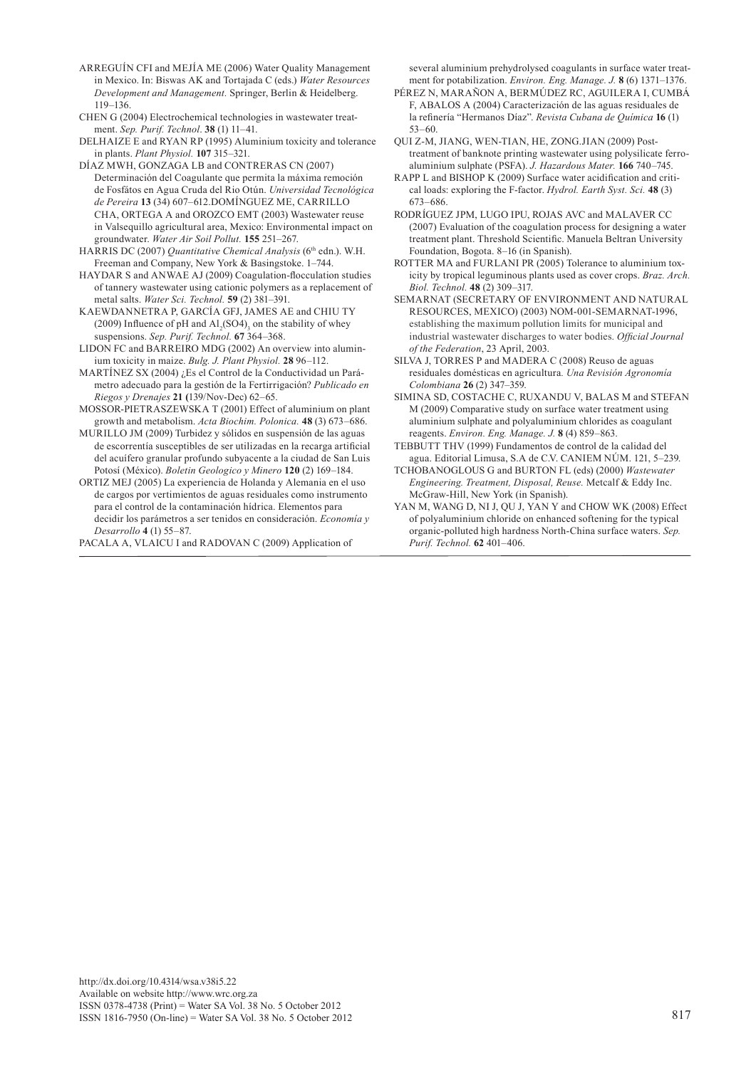- ARREGUÍN CFI and MEJÍA ME (2006) Water Quality Management in Mexico. In: Biswas AK and Tortajada C (eds.) *Water Resources Development and Management.* Springer, Berlin & Heidelberg. 119–136.
- CHEN G (2004) Electrochemical technologies in wastewater treatment. *Sep. Purif. Technol*. **38** (1) 11–41.

DELHAIZE E and RYAN RP (1995) Aluminium toxicity and tolerance in plants. *Plant Physiol.* **107** 315–321.

DÍAZ MWH, GONZAGA LB and CONTRERAS CN (2007) Determinación del Coagulante que permita la máxima remoción de Fosfátos en Agua Cruda del Rio Otún. *Universidad Tecnológica de Pereira* **13** (34) 607–612.DOMÍNGUEZ ME, CARRILLO CHA, ORTEGA A and OROZCO EMT (2003) Wastewater reuse in Valsequillo agricultural area, Mexico: Environmental impact on groundwater. *Water Air Soil Pollut.* **155** 251–267.

- HARRIS DC (2007) *Quantitative Chemical Analysis* (6<sup>th</sup> edn.). W.H. Freeman and Company, New York & Basingstoke. 1–744.
- HAYDAR S and ANWAE AJ (2009) Coagulation-flocculation studies of tannery wastewater using cationic polymers as a replacement of metal salts. *Water Sci. Technol.* **59** (2) 381–391.
- KAEWDANNETRA P, GARCÍA GFJ, JAMES AE and CHIU TY (2009) Influence of pH and  $\text{Al}_2(\text{SO4})_3$  on the stability of whey suspensions. *Sep. Purif. Technol.* **67** 364–368.
- LIDON FC and BARREIRO MDG (2002) An overview into aluminium toxicity in maize. *Bulg. J. Plant Physiol.* **28** 96–112.
- MARTÍNEZ SX (2004) ¿Es el Control de la Conductividad un Parámetro adecuado para la gestión de la Fertirrigación? *Publicado en Riegos y Drenajes* **21 (**139/Nov-Dec) 62–65.
- MOSSOR-PIETRASZEWSKA T (2001) Effect of aluminium on plant growth and metabolism. *Acta Biochim. Polonica.* **48** (3) 673–686.
- MURILLO JM (2009) Turbidez y sólidos en suspensión de las aguas de escorrentía susceptibles de ser utilizadas en la recarga artificial del acuífero granular profundo subyacente a la ciudad de San Luis Potosí (México). *Boletin Geologico y Minero* **120** (2) 169–184.

ORTIZ MEJ (2005) La experiencia de Holanda y Alemania en el uso de cargos por vertimientos de aguas residuales como instrumento para el control de la contaminación hídrica. Elementos para decidir los parámetros a ser tenidos en consideración. *Economía y Desarrollo* **4** (1) 55–87.

PACALA A, VLAICU I and RADOVAN C (2009) Application of

several aluminium prehydrolysed coagulants in surface water treatment for potabilization. *Environ. Eng. Manage. J.* **8** (6) 1371–1376.

- PÉREZ N, MARAÑON A, BERMÚDEZ RC, AGUILERA I, CUMBÁ F, ABALOS A (2004) Caracterización de las aguas residuales de la refinería "Hermanos Díaz". *Revista Cubana de Química* **16** (1) 53–60.
- QUI Z-M, JIANG, WEN-TIAN, HE, ZONG.JIAN (2009) Posttreatment of banknote printing wastewater using polysilicate ferroaluminium sulphate (PSFA). *J. Hazardous Mater.* **166** 740–745.
- RAPP L and BISHOP K (2009) Surface water acidification and critical loads: exploring the F-factor. *Hydrol. Earth Syst. Sci.* **48** (3) 673–686.
- RODRÍGUEZ JPM, LUGO IPU, ROJAS AVC and MALAVER CC (2007) Evaluation of the coagulation process for designing a water treatment plant. Threshold Scientific. Manuela Beltran University Foundation, Bogota. 8–16 (in Spanish).
- ROTTER MA and FURLANI PR (2005) Tolerance to aluminium toxicity by tropical leguminous plants used as cover crops. *Braz. Arch. Biol. Technol.* **48** (2) 309–317.
- SEMARNAT (SECRETARY OF ENVIRONMENT AND NATURAL RESOURCES, MEXICO) (2003) NOM-001-SEMARNAT-1996, establishing the maximum pollution limits for municipal and industrial wastewater discharges to water bodies. *Official Journal of the Federation*, 23 April, 2003.
- SILVA J, TORRES P and MADERA C (2008) Reuso de aguas residuales domésticas en agricultura*. Una Revisión Agronomía Colombiana* **26** (2) 347–359.
- SIMINA SD, COSTACHE C, RUXANDU V, BALAS M and STEFAN M (2009) Comparative study on surface water treatment using aluminium sulphate and polyaluminium chlorides as coagulant reagents. *Environ. Eng. Manage. J.* **8** (4) 859–863.
- TEBBUTT THV (1999) Fundamentos de control de la calidad del agua. Editorial Limusa, S.A de C.V. CANIEM NÚM. 121, 5–239.
- TCHOBANOGLOUS G and BURTON FL (eds) (2000) *Wastewater Engineering. Treatment, Disposal, Reuse.* Metcalf & Eddy Inc. McGraw-Hill, New York (in Spanish).
- YAN M, WANG D, NI J, QU J, YAN Y and CHOW WK (2008) Effect of polyaluminium chloride on enhanced softening for the typical organic-polluted high hardness North-China surface waters. *Sep. Purif. Technol.* **62** 401–406.